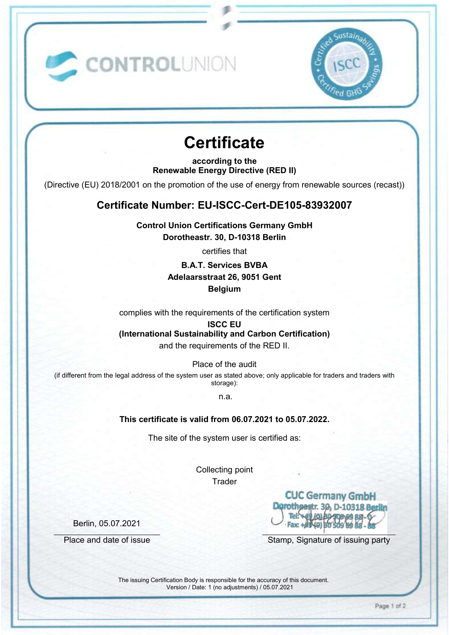

# **Certificate**

CONTROLUNION

**according to the Renewable Energy Directive (RED II)** 

(Directive (EU) 2018/2001 on the promotion of the use of energy from renewable sources (recast))

## **Certificate Number: EU-ISCC-Cert-DE105-83932007**

**Control Union Certifications Germany GmbH Dorotheastr. 30, D-10318 Berlin** 

certifies that

### **B.A.T. Services BVBA Adelaarsstraat 26, 9051 Gent Belgium**

complies with the requirements of the certification system

# **ISCC EU**

**(International Sustainability and Carbon Certification)** 

and the requirements of the RED II.

Place of the audit

(if different from the legal address of the system user as stated above; only applicable for traders and traders with storage):

n.a.

#### **This certificate is valid from 06.07.2021 to 05.07.2022.**

The site of the system user is certified as:

Collecting point **Trader** 

> **CUC Germany GmbH** Fax: +#

Place and date of issue Stamp, Signature of issuing party

The issuing Certification Body is responsible for the accuracy of this document. Version / Date: 1 (no adjustments) / 05.07.2021

Berlin, 05.07.2021